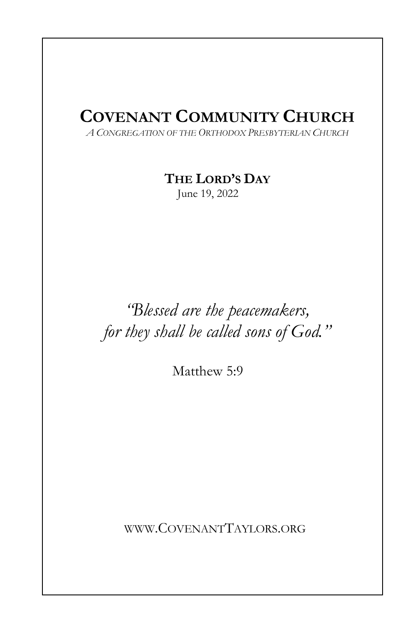# COVENANT COMMUNITY CHURCH

A CONGREGATION OF THE ORTHODOX PRESBYTERIAN CHURCH

THE LORD'S DAY

June 19, 2022

# "Blessed are the peacemakers, for they shall be called sons of God."

Matthew 5:9

WWW.COVENANTTAYLORS.ORG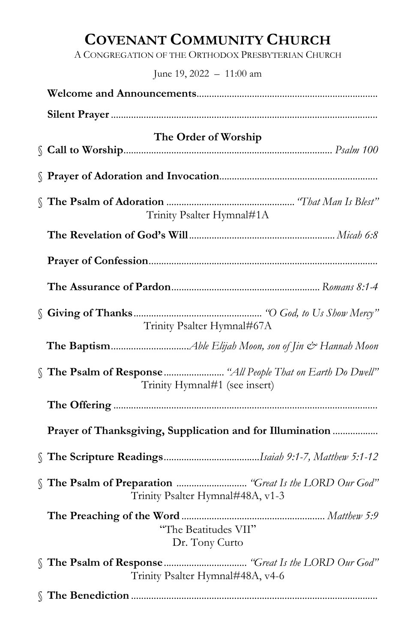# COVENANT COMMUNITY CHURCH

A CONGREGATION OF THE ORTHODOX PRESBYTERIAN CHURCH

June 19, 2022 – 11:00 am

| The Order of Worship                                      |
|-----------------------------------------------------------|
|                                                           |
| Trinity Psalter Hymnal#1A                                 |
|                                                           |
|                                                           |
|                                                           |
| Trinity Psalter Hymnal#67A                                |
|                                                           |
| Trinity Hymnal#1 (see insert)                             |
|                                                           |
| Prayer of Thanksgiving, Supplication and for Illumination |
|                                                           |
| Trinity Psalter Hymnal#48A, v1-3                          |
| "The Beatitudes VII"<br>Dr. Tony Curto                    |
| Trinity Psalter Hymnal#48A, v4-6                          |
|                                                           |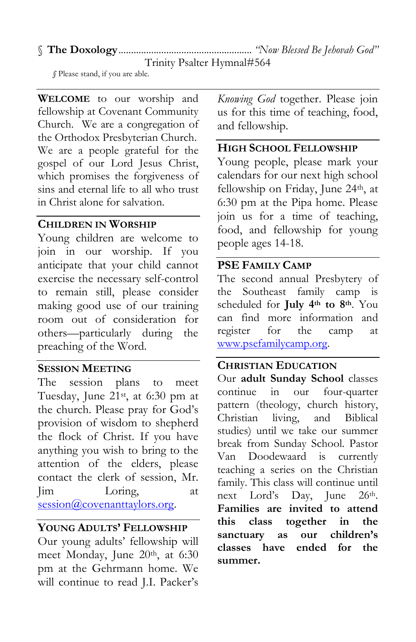# § The Doxology ..................................................... "Now Blessed Be Jehovah God"

Trinity Psalter Hymnal#564

§ Please stand, if you are able.

WELCOME to our worship and fellowship at Covenant Community Church. We are a congregation of the Orthodox Presbyterian Church. We are a people grateful for the gospel of our Lord Jesus Christ, which promises the forgiveness of sins and eternal life to all who trust in Christ alone for salvation.

# CHILDREN IN WORSHIP

Young children are welcome to join in our worship. If you anticipate that your child cannot exercise the necessary self-control to remain still, please consider making good use of our training room out of consideration for others—particularly during the preaching of the Word.

#### SESSION MEETING

The session plans to meet Tuesday, June 21st, at 6:30 pm at the church. Please pray for God's provision of wisdom to shepherd the flock of Christ. If you have anything you wish to bring to the attention of the elders, please contact the clerk of session, Mr. Jim Loring, at session@covenanttaylors.org.

# YOUNG ADULTS' FELLOWSHIP

Our young adults' fellowship will meet Monday, June 20<sup>th</sup>, at 6:30 pm at the Gehrmann home. We will continue to read J.I. Packer's Knowing God together. Please join us for this time of teaching, food, and fellowship.

# HIGH SCHOOL FELLOWSHIP

Young people, please mark your calendars for our next high school fellowship on Friday, June 24<sup>th</sup>, at 6:30 pm at the Pipa home. Please join us for a time of teaching, food, and fellowship for young people ages 14-18.

# PSE FAMILY CAMP

The second annual Presbytery of the Southeast family camp is scheduled for July 4th to 8th. You can find more information and register for the camp at www.psefamilycamp.org.

# CHRISTIAN EDUCATION

Our adult Sunday School classes continue in our four-quarter pattern (theology, church history, Christian living, and Biblical studies) until we take our summer break from Sunday School. Pastor Van Doodewaard is currently teaching a series on the Christian family. This class will continue until next Lord's Day, June 26th. Families are invited to attend this class together in the sanctuary as our children's classes have ended for the summer.